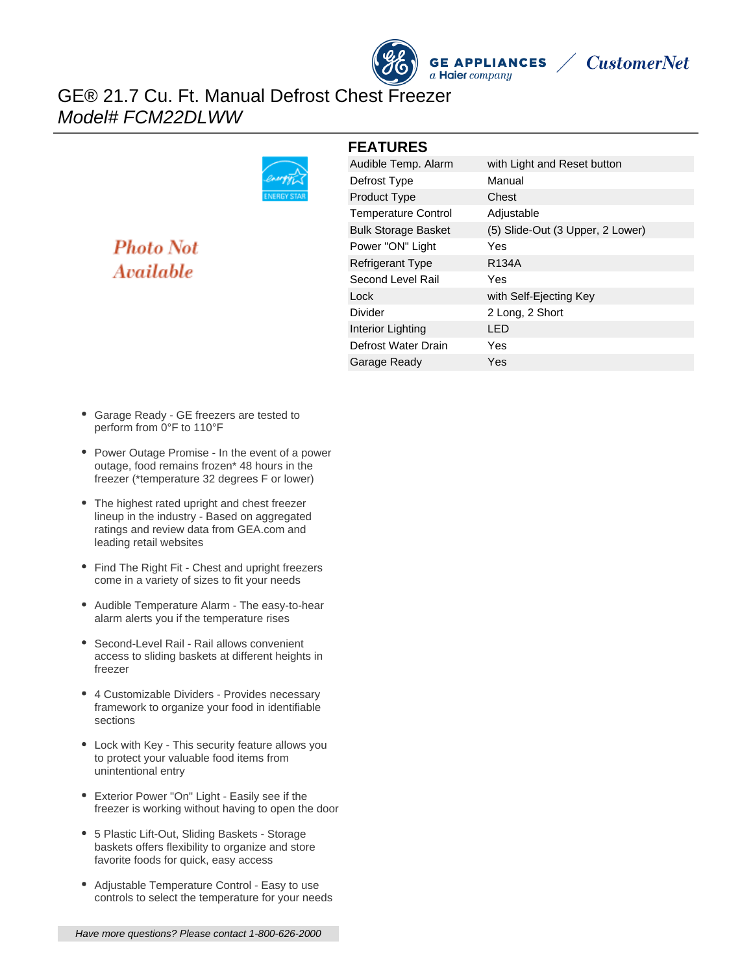

**FEATURES**



## GE® 21.7 Cu. Ft. Manual Defrost Chest Freezer Model# FCM22DLWW



# **Photo Not** Available

| Audible Temp. Alarm        | with Light and Reset button      |
|----------------------------|----------------------------------|
| Defrost Type               | Manual                           |
| Product Type               | Chest                            |
| <b>Temperature Control</b> | Adjustable                       |
| <b>Bulk Storage Basket</b> | (5) Slide-Out (3 Upper, 2 Lower) |
| Power "ON" Light           | Yes                              |
| <b>Refrigerant Type</b>    | R <sub>134</sub> A               |
| Second Level Rail          | Yes                              |
| Lock                       | with Self-Ejecting Key           |
| Divider                    | 2 Long, 2 Short                  |
| Interior Lighting          | I ED                             |
| Defrost Water Drain        | Yes                              |
| Garage Ready               | Yes                              |
|                            |                                  |

- Garage Ready GE freezers are tested to perform from 0°F to 110°F
- Power Outage Promise In the event of a power outage, food remains frozen\* 48 hours in the freezer (\*temperature 32 degrees F or lower)
- The highest rated upright and chest freezer lineup in the industry - Based on aggregated ratings and review data from GEA.com and leading retail websites
- Find The Right Fit Chest and upright freezers come in a variety of sizes to fit your needs
- Audible Temperature Alarm The easy-to-hear alarm alerts you if the temperature rises
- Second-Level Rail Rail allows convenient access to sliding baskets at different heights in freezer
- 4 Customizable Dividers Provides necessary framework to organize your food in identifiable sections
- Lock with Key This security feature allows you to protect your valuable food items from unintentional entry
- Exterior Power "On" Light Easily see if the freezer is working without having to open the door
- 5 Plastic Lift-Out, Sliding Baskets Storage baskets offers flexibility to organize and store favorite foods for quick, easy access
- Adjustable Temperature Control Easy to use controls to select the temperature for your needs